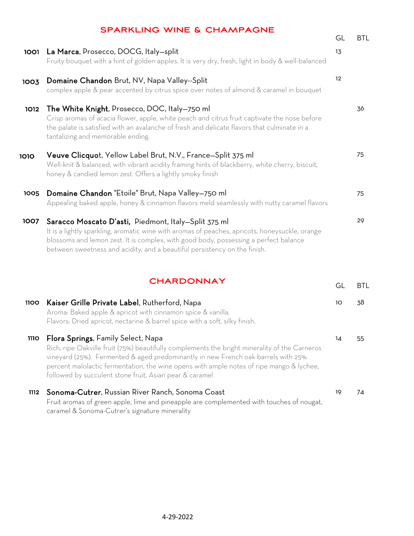|             | <b>SPARKLING WINE &amp; CHAMPAGNE</b>                                                                                                                                                                                                                                                                                       | GL | <b>BTL</b> |
|-------------|-----------------------------------------------------------------------------------------------------------------------------------------------------------------------------------------------------------------------------------------------------------------------------------------------------------------------------|----|------------|
| 1001        | La Marca, Prosecco, DOCG, Italy-split<br>Fruity bouquet with a hint of golden apples. It is very dry, fresh, light in body & well-balanced                                                                                                                                                                                  | 13 |            |
| 1003        | Domaine Chandon Brut, NV, Napa Valley--Split<br>complex apple & pear accented by citrus spice over notes of almond & caramel in bouquet                                                                                                                                                                                     | 12 |            |
| 1012        | The White Knight, Prosecco, DOC, Italy-750 ml<br>Crisp aromas of acacia flower, apple, white peach and citrus fruit captivate the nose before<br>the palate is satisfied with an avalanche of fresh and delicate flavors that culminate in a<br>tantalizing and memorable ending.                                           |    | 36         |
| 1010        | Veuve Clicquot, Yellow Label Brut, N.V., France-Split 375 ml<br>Well-knit & balanced, with vibrant acidity framing hints of blackberry, white cherry, biscuit,<br>honey & candied lemon zest. Offers a lightly smoky finish                                                                                                 |    | 75         |
| 1005        | Domaine Chandon "Etoile" Brut, Napa Valley-750 ml<br>Appealing baked apple, honey & cinnamon flavors meld seamlessly with nutty caramel flavors                                                                                                                                                                             |    | 75         |
| 1007        | Saracco Moscato D'asti, Piedmont, Italy-Split 375 ml<br>It is a lightly sparkling, aromatic wine with aromas of peaches, apricots, honeysuckle, orange<br>blossoms and lemon zest. It is complex, with good body, possessing a perfect balance<br>between sweetness and acidity, and a beautiful persistency on the finish. |    | 29         |
|             | <b>CHARDONNAY</b>                                                                                                                                                                                                                                                                                                           | GL | <b>BTL</b> |
| 1100        | Kaiser Grille Private Label, Rutherford, Napa<br>Aroma: Baked apple & apricot with cinnamon spice & vanilla.<br>Flavors: Dried apricot, nectarine & barrel spice with a soft, silky finish.                                                                                                                                 | 10 | 38         |
| <b>1110</b> | Flora Springs, Family Select, Napa<br>Dich rine Oakville fruit (75%) heautifully complements the bright minerality of the Carneros                                                                                                                                                                                          | 14 | 55         |

Rich, ripe Oakville fruit (75%) beautifully complements the bright minerality of the Carneros vineyard (25%). Fermented & aged predominantly in new French oak barrels with 25% percent malolactic fermentation, the wine opens with ample notes of ripe mango & lychee, followed by succulent stone fruit, Asian pear & caramel

### 1112 Sonoma-Cutrer, Russian River Ranch, Sonoma Coast Fruit aromas of green apple, lime and pineapple are complemented with touches of nougat, caramel & Sonoma-Cutrer's signature minerality 19 74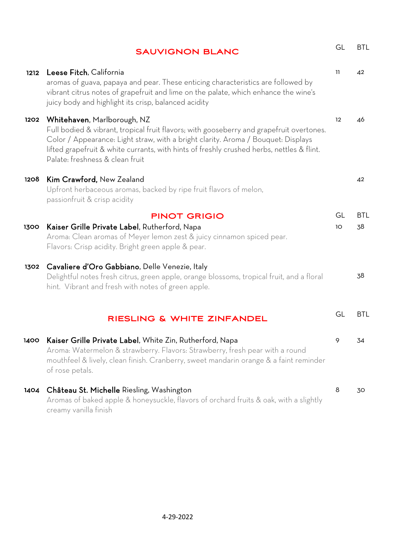|      | <b>SAUVIGNON BLANC</b>                                                                                                                                                                                                                                                                                                                       | GL       | <b>BTL</b>       |
|------|----------------------------------------------------------------------------------------------------------------------------------------------------------------------------------------------------------------------------------------------------------------------------------------------------------------------------------------------|----------|------------------|
| 1212 | Leese Fitch, California<br>aromas of guava, papaya and pear. These enticing characteristics are followed by<br>vibrant citrus notes of grapefruit and lime on the palate, which enhance the wine's<br>juicy body and highlight its crisp, balanced acidity                                                                                   | 11       | 42               |
| 1202 | Whitehaven, Marlborough, NZ<br>Full bodied & vibrant, tropical fruit flavors; with gooseberry and grapefruit overtones.<br>Color / Appearance: Light straw, with a bright clarity. Aroma / Bouquet: Displays<br>lifted grapefruit & white currants, with hints of freshly crushed herbs, nettles & flint.<br>Palate: freshness & clean fruit | 12       | 46               |
| 1208 | Kim Crawford, New Zealand<br>Upfront herbaceous aromas, backed by ripe fruit flavors of melon,<br>passionfruit & crisp acidity                                                                                                                                                                                                               |          | 42               |
| 1300 | <b>PINOT GRIGIO</b><br>Kaiser Grille Private Label, Rutherford, Napa<br>Aroma: Clean aromas of Meyer lemon zest & juicy cinnamon spiced pear.<br>Flavors: Crisp acidity. Bright green apple & pear.                                                                                                                                          | GL<br>10 | <b>BTL</b><br>38 |
| 1302 | Cavaliere d'Oro Gabbiano, Delle Venezie, Italy<br>Delightful notes fresh citrus, green apple, orange blossoms, tropical fruit, and a floral<br>hint. Vibrant and fresh with notes of green apple.                                                                                                                                            |          | 38               |
|      | RIESLING & WHITE ZINFANDEL                                                                                                                                                                                                                                                                                                                   | GL       | <b>BTL</b>       |
|      | 1400 Kaiser Grille Private Label, White Zin, Rutherford, Napa<br>Aroma: Watermelon & strawberry. Flavors: Strawberry, fresh pear with a round<br>mouthfeel & lively, clean finish. Cranberry, sweet mandarin orange & a faint reminder<br>of rose petals.                                                                                    | 9        | 34               |
| 1404 | Château St. Michelle Riesling, Washington<br>Aromas of baked apple & honeysuckle, flavors of orchard fruits & oak, with a slightly<br>creamy vanilla finish                                                                                                                                                                                  | 8        | 30               |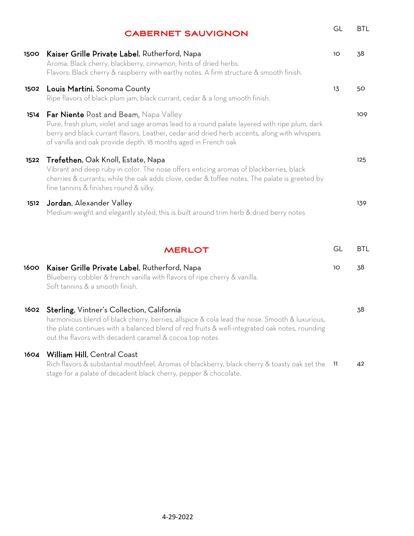|      | <b>CABERNET SAUVIGNON</b>                                                                                                                                                                                                                                                                                     | GL              | <b>BTL</b> |
|------|---------------------------------------------------------------------------------------------------------------------------------------------------------------------------------------------------------------------------------------------------------------------------------------------------------------|-----------------|------------|
| 1500 | Kaiser Grille Private Label, Rutherford, Napa<br>Aroma: Black cherry, blackberry, cinnamon, hints of dried herbs.<br>Flavors: Black cherry & raspberry with earthy notes. A firm structure & smooth finish.                                                                                                   | 10              | 38         |
| 1502 | Louis Martini, Sonoma County<br>Ripe flavors of black plum jam, black currant, cedar & a long smooth finish.                                                                                                                                                                                                  | 13              | 50         |
| 1514 | <b>Far Niente</b> Post and Beam, Napa Valley<br>Pure, fresh plum, violet and sage aromas lead to a round palate layered with ripe plum, dark<br>berry and black currant flavors. Leather, cedar and dried herb accents, along with whispers<br>of vanilla and oak provide depth. 18 months aged in French oak |                 | 109        |
| 1522 | Trefethen, Oak Knoll, Estate, Napa<br>Vibrant and deep ruby in color. The nose offers enticing aromas of blackberries, black<br>cherries & currants; while the oak adds clove, cedar & toffee notes. The palate is greeted by<br>fine tannins & finishes round & silky.                                       |                 | 125        |
| 1512 | Jordan, Alexander Valley<br>Medium-weight and elegantly styled, this is built around trim herb & dried berry notes                                                                                                                                                                                            |                 | 139        |
|      | <b>MERLOT</b>                                                                                                                                                                                                                                                                                                 | GL              | BTL        |
| 1600 | Kaiser Grille Private Label, Rutherford, Napa<br>Blueberry cobbler & french vanilla with flavors of ripe cherry & vanilla.<br>Soft tannins & a smooth finish.                                                                                                                                                 | 10 <sup>°</sup> | 38         |
| 1602 | Sterling, Vintner's Collection, California<br>harmonious blend of black cherry, berries, allspice & cola lead the nose. Smooth & luxurious,<br>the plate continues with a balanced blend of red fruits & well-integrated oak notes, rounding<br>out the flavors with decadent caramel & cocoa top notes       |                 | 38         |
| 1604 | William Hill, Central Coast<br>Rich flavors & substantial mouthfeel. Aromas of blackberry, black cherry & toasty oak set the<br>stage for a palate of decadent black cherry, pepper & chocolate.                                                                                                              | - 11            | 42         |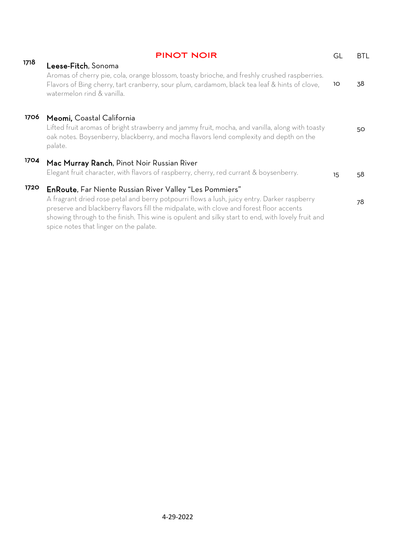|      | <b>PINOT NOIR</b>                                                                                                                                                                                                                                                                                                                                                                                       | GL | <b>BTL</b> |
|------|---------------------------------------------------------------------------------------------------------------------------------------------------------------------------------------------------------------------------------------------------------------------------------------------------------------------------------------------------------------------------------------------------------|----|------------|
| 1718 | Leese-Fitch, Sonoma<br>Aromas of cherry pie, cola, orange blossom, toasty brioche, and freshly crushed raspberries.<br>Flavors of Bing cherry, tart cranberry, sour plum, cardamom, black tea leaf & hints of clove,<br>watermelon rind & vanilla.                                                                                                                                                      | 10 | 38         |
| 1706 | Meomi, Coastal California<br>Lifted fruit aromas of bright strawberry and jammy fruit, mocha, and vanilla, along with toasty<br>oak notes. Boysenberry, blackberry, and mocha flavors lend complexity and depth on the<br>palate.                                                                                                                                                                       |    | 50         |
| 1704 | Mac Murray Ranch, Pinot Noir Russian River<br>Elegant fruit character, with flavors of raspberry, cherry, red currant & boysenberry.                                                                                                                                                                                                                                                                    | 15 | .58        |
| 1720 | <b>EnRoute, Far Niente Russian River Valley "Les Pommiers"</b><br>A fragrant dried rose petal and berry potpourri flows a lush, juicy entry. Darker raspberry<br>preserve and blackberry flavors fill the midpalate, with clove and forest floor accents<br>showing through to the finish. This wine is opulent and silky start to end, with lovely fruit and<br>spice notes that linger on the palate. |    | 78         |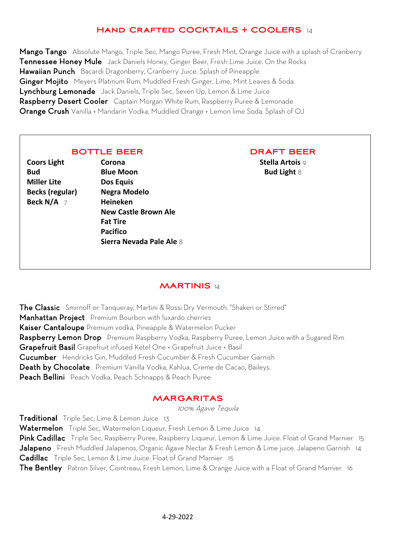## **Hand Crafted COCKTAILS + COOLERS** 14

Mango TangoAbsolute Mango, Triple Sec, Mango Puree, Fresh Mint, Orange Juice with a splash of Cranberry Tennessee Honey MuleJack Daniels Honey, Ginger Beer, Fresh Lime Juice. On the Rocks Hawaiian PunchBacardi Dragonberry, Cranberry Juice. Splash of Pineapple Ginger MojitoMeyers Platinum Rum, Muddled Fresh Ginger, Lime, Mint Leaves & Soda Lynchburg Lemonade Jack Daniels, Triple Sec, Seven Up, Lemon & Lime Juice Raspberry Desert CoolerCaptain Morgan White Rum, Raspberry Puree & Lemonade Orange Crush Vanilla + Mandarin Vodka, Muddled Orange + Lemon lime Soda. Splash of OJ

### **BOTTLE BEER**

**Coors Light Bud Miller Lite Becks (regular) Beck N/A** 7

**Corona Blue Moon Dos Equis Negra Modelo Heineken New Castle Brown Ale Fat Tire Pacifico Sierra Nevada Pale Ale** 8

### **DRAFT BEER**

**Stella Artois** 9 **Bud Light** 8

## **MARTINIS** 14

The ClassicSmirnoff or Tanqueray, Martini & Rossi Dry Vermouth. "Shaken or Stirred" Manhattan ProjectPremium Bourbon with luxardo cherries Kaiser Cantaloupe Premium vodka, Pineapple & Watermelon Pucker Raspberry Lemon DropPremium Raspberry Vodka, Raspberry Puree, Lemon Juice with a Sugared Rim Grapefruit Basil Grapefruit infused Ketel One + Grapefruit Juice + Basil Cucumber Hendricks Gin, Muddled Fresh Cucumber & Fresh Cucumber Garnish Death by ChocolatePremium Vanilla Vodka, Kahlua, Creme de Cacao, Baileys. Peach BelliniPeach Vodka, Peach Schnapps & Peach Puree

## **MARGARITAS**

100% Agave Tequila

Traditiona**l** Triple Sec, Lime & Lemon Juice 13 WatermelonTriple Sec, Watermelon Liqueur, Fresh Lemon & Lime Juice 14 Pink CadillacTriple Sec, Raspberry Puree, Raspberry Liqueur, Lemon & Lime Juice. Float of Grand Marnier 15 JalapenoFresh Muddled Jalapenos, Organic Agave Nectar & Fresh Lemon & Lime juice. Jalapeno Garnish 14 Cadillac Triple Sec, Lemon & Lime Juice. Float of Grand Marnier 15 The BentleyPatron Silver, Cointreau, Fresh Lemon, Lime & Orange Juice with a Float of Grand Marnier 16